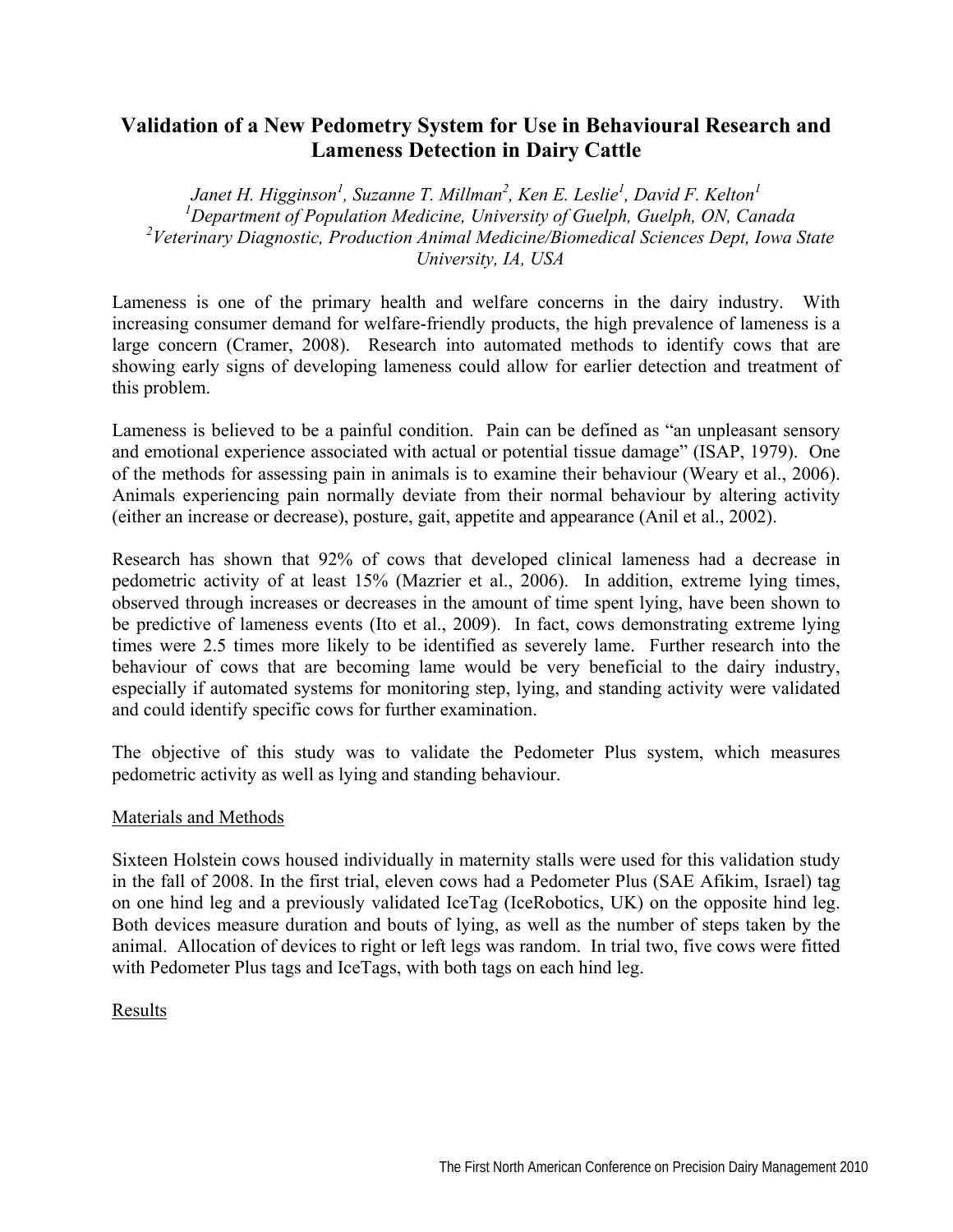# **Validation of a New Pedometry System for Use in Behavioural Research and Lameness Detection in Dairy Cattle**

Janet H. Higginson<sup>1</sup>, Suzanne T. Millman<sup>2</sup>, Ken E. Leslie<sup>1</sup>, David F. Kelton<sup>1</sup> *1 Department of Population Medicine, University of Guelph, Guelph, ON, Canada*  <sup>2</sup> Veterinary Diagnostic, Production Animal Medicine/Biomedical Sciences Dept, Iowa State *University, IA, USA* 

Lameness is one of the primary health and welfare concerns in the dairy industry. With increasing consumer demand for welfare-friendly products, the high prevalence of lameness is a large concern (Cramer, 2008). Research into automated methods to identify cows that are showing early signs of developing lameness could allow for earlier detection and treatment of this problem.

Lameness is believed to be a painful condition. Pain can be defined as "an unpleasant sensory and emotional experience associated with actual or potential tissue damage" (ISAP, 1979). One of the methods for assessing pain in animals is to examine their behaviour (Weary et al., 2006). Animals experiencing pain normally deviate from their normal behaviour by altering activity (either an increase or decrease), posture, gait, appetite and appearance (Anil et al., 2002).

Research has shown that 92% of cows that developed clinical lameness had a decrease in pedometric activity of at least 15% (Mazrier et al., 2006). In addition, extreme lying times, observed through increases or decreases in the amount of time spent lying, have been shown to be predictive of lameness events (Ito et al., 2009). In fact, cows demonstrating extreme lying times were 2.5 times more likely to be identified as severely lame. Further research into the behaviour of cows that are becoming lame would be very beneficial to the dairy industry, especially if automated systems for monitoring step, lying, and standing activity were validated and could identify specific cows for further examination.

The objective of this study was to validate the Pedometer Plus system, which measures pedometric activity as well as lying and standing behaviour.

### Materials and Methods

Sixteen Holstein cows housed individually in maternity stalls were used for this validation study in the fall of 2008. In the first trial, eleven cows had a Pedometer Plus (SAE Afikim, Israel) tag on one hind leg and a previously validated IceTag (IceRobotics, UK) on the opposite hind leg. Both devices measure duration and bouts of lying, as well as the number of steps taken by the animal. Allocation of devices to right or left legs was random. In trial two, five cows were fitted with Pedometer Plus tags and IceTags, with both tags on each hind leg.

## Results